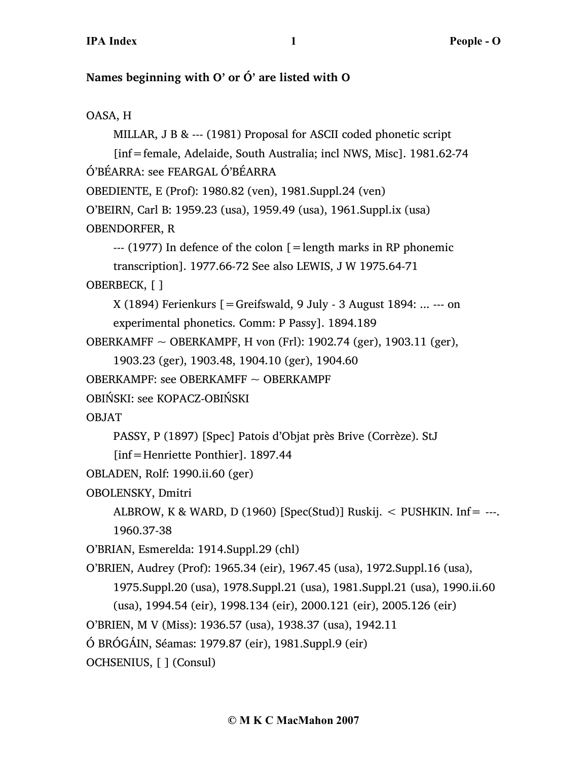# **Names beginning with O' or Ó' are listed with O**

# OASA, H

```
MILLAR, J B & --- (1981) Proposal for ASCII coded phonetic script 
     [inf=female, Adelaide, South Australia; incl NWS, Misc]. 1981.62-74
Ó'BÉARRA: see FEARGAL Ó'BÉARRA
OBEDIENTE, E (Prof): 1980.82 (ven), 1981.Suppl.24 (ven)
O'BEIRN, Carl B: 1959.23 (usa), 1959.49 (usa), 1961.Suppl.ix (usa)
OBENDORFER, R
    ---(1977) In defence of the colon [= length marks in RP phonemic
    transcription]. 1977.66-72 See also LEWIS, J W 1975.64-71
OBERBECK, [ ]
    X (1894) Ferienkurs [=Greifswald, 9 July - 3 August 1894: ... --- on
    experimental phonetics. Comm: P Passy]. 1894.189
OBERKAMFF ~ OBERKAMPF, H von (Frl): 1902.74 (ger), 1903.11 (ger), 
     1903.23 (ger), 1903.48, 1904.10 (ger), 1904.60
OBERKAMPF: see OBERKAMFF \sim OBERKAMPF
OBIŃSKI: see KOPACZ-OBIŃSKI
OBJAT
    PASSY, P (1897) [Spec] Patois d'Objat près Brive (Corrèze). StJ
     [inf=Henriette Ponthier]. 1897.44
OBLADEN, Rolf: 1990.ii.60 (ger)
OBOLENSKY, Dmitri
    ALBROW, K & WARD, D (1960) [Spec(Stud)] Ruskij. \lt PUSHKIN. Inf= ---.
     1960.37-38
O'BRIAN, Esmerelda: 1914.Suppl.29 (chl)
O'BRIEN, Audrey (Prof): 1965.34 (eir), 1967.45 (usa), 1972.Suppl.16 (usa), 
     1975.Suppl.20 (usa), 1978.Suppl.21 (usa), 1981.Suppl.21 (usa), 1990.ii.60
     (usa), 1994.54 (eir), 1998.134 (eir), 2000.121 (eir), 2005.126 (eir)
O'BRIEN, M V (Miss): 1936.57 (usa), 1938.37 (usa), 1942.11
Ó BRÓGÁIN, Séamas: 1979.87 (eir), 1981.Suppl.9 (eir)
OCHSENIUS, [ ] (Consul)
```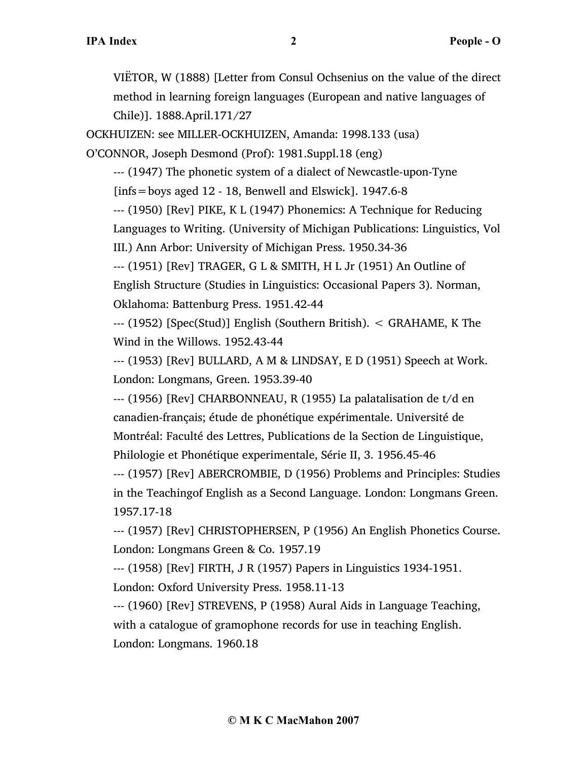VIËTOR, W (1888) [Letter from Consul Ochsenius on the value of the direct method in learning foreign languages (European and native languages of Chile)]. 1888.April.171/27

OCKHUIZEN: see MILLER-OCKHUIZEN, Amanda: 1998.133 (usa)

O'CONNOR, Joseph Desmond (Prof): 1981.Suppl.18 (eng)

--- (1947) The phonetic system of a dialect of Newcastle-upon-Tyne  $[ins = boys$  aged 12 - 18, Benwell and Elswick]. 1947.6-8

--- (1950) [Rev] PIKE, K L (1947) Phonemics: A Technique for Reducing

Languages to Writing. (University of Michigan Publications: Linguistics, Vol

III.) Ann Arbor: University of Michigan Press. 1950.34-36

--- (1951) [Rev] TRAGER, G L & SMITH, H L Jr (1951) An Outline of English Structure (Studies in Linguistics: Occasional Papers 3). Norman, Oklahoma: Battenburg Press. 1951.42-44

--- (1952) [Spec(Stud)] English (Southern British). < GRAHAME, K The Wind in the Willows. 1952.43-44

--- (1953) [Rev] BULLARD, A M & LINDSAY, E D (1951) Speech at Work. London: Longmans, Green. 1953.39-40

--- (1956) [Rev] CHARBONNEAU, R (1955) La palatalisation de t/d en canadien-français; étude de phonétique expérimentale. Université de Montréal: Faculté des Lettres, Publications de la Section de Linguistique, Philologie et Phonétique experimentale, Série II, 3. 1956.45-46

--- (1957) [Rev] ABERCROMBIE, D (1956) Problems and Principles: Studies in the Teachingof English as a Second Language. London: Longmans Green. 1957.17-18

--- (1957) [Rev] CHRISTOPHERSEN, P (1956) An English Phonetics Course. London: Longmans Green & Co. 1957.19

--- (1958) [Rev] FIRTH, J R (1957) Papers in Linguistics 1934-1951.

London: Oxford University Press. 1958.11-13

--- (1960) [Rev] STREVENS, P (1958) Aural Aids in Language Teaching, with a catalogue of gramophone records for use in teaching English. London: Longmans. 1960.18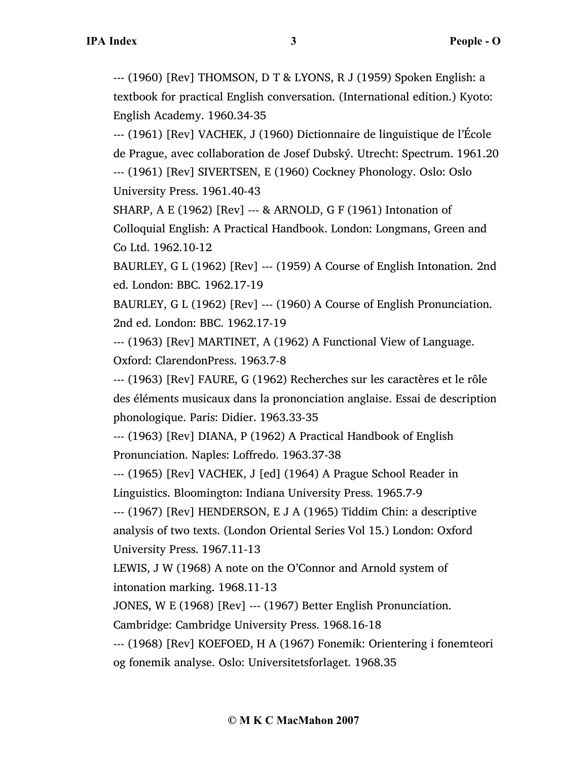--- (1960) [Rev] THOMSON, D T & LYONS, R J (1959) Spoken English: a textbook for practical English conversation. (International edition.) Kyoto: English Academy. 1960.34-35

--- (1961) [Rev] VACHEK, J (1960) Dictionnaire de linguistique de l'École de Prague, avec collaboration de Josef Dubský. Utrecht: Spectrum. 1961.20 --- (1961) [Rev] SIVERTSEN, E (1960) Cockney Phonology. Oslo: Oslo University Press. 1961.40-43

SHARP, A E (1962) [Rev] --- & ARNOLD, G F (1961) Intonation of Colloquial English: A Practical Handbook. London: Longmans, Green and Co Ltd. 1962.10-12

BAURLEY, G L (1962) [Rev] --- (1959) A Course of English Intonation. 2nd ed. London: BBC. 1962.17-19

BAURLEY, G L (1962) [Rev] --- (1960) A Course of English Pronunciation. 2nd ed. London: BBC. 1962.17-19

--- (1963) [Rev] MARTINET, A (1962) A Functional View of Language. Oxford: ClarendonPress. 1963.7-8

--- (1963) [Rev] FAURE, G (1962) Recherches sur les caractères et le rôle des éléments musicaux dans la prononciation anglaise. Essai de description phonologique. Paris: Didier. 1963.33-35

--- (1963) [Rev] DIANA, P (1962) A Practical Handbook of English Pronunciation. Naples: Loffredo. 1963.37-38

--- (1965) [Rev] VACHEK, J [ed] (1964) A Prague School Reader in Linguistics. Bloomington: Indiana University Press. 1965.7-9

--- (1967) [Rev] HENDERSON, E J A (1965) Tiddim Chin: a descriptive analysis of two texts. (London Oriental Series Vol 15.) London: Oxford University Press. 1967.11-13

LEWIS, J W (1968) A note on the O'Connor and Arnold system of intonation marking. 1968.11-13

JONES, W E (1968) [Rev] --- (1967) Better English Pronunciation.

Cambridge: Cambridge University Press. 1968.16-18

--- (1968) [Rev] KOEFOED, H A (1967) Fonemik: Orientering i fonemteori og fonemik analyse. Oslo: Universitetsforlaget. 1968.35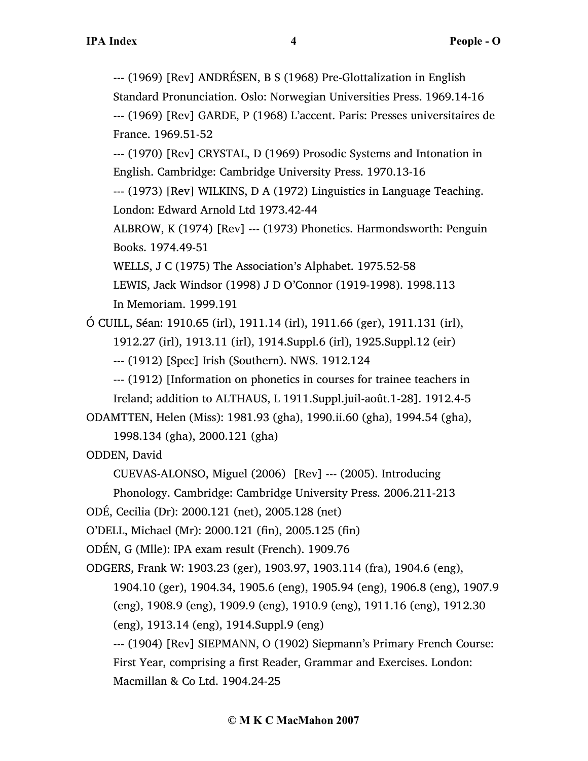--- (1969) [Rev] ANDRÉSEN, B S (1968) Pre-Glottalization in English Standard Pronunciation. Oslo: Norwegian Universities Press. 1969.14-16 --- (1969) [Rev] GARDE, P (1968) L'accent. Paris: Presses universitaires de France. 1969.51-52

--- (1970) [Rev] CRYSTAL, D (1969) Prosodic Systems and Intonation in English. Cambridge: Cambridge University Press. 1970.13-16

--- (1973) [Rev] WILKINS, D A (1972) Linguistics in Language Teaching. London: Edward Arnold Ltd 1973.42-44

ALBROW, K (1974) [Rev] --- (1973) Phonetics. Harmondsworth: Penguin Books. 1974.49-51

WELLS, J C (1975) The Association's Alphabet. 1975.52-58

LEWIS, Jack Windsor (1998) J D O'Connor (1919-1998). 1998.113 In Memoriam. 1999.191

Ó CUILL, Séan: 1910.65 (irl), 1911.14 (irl), 1911.66 (ger), 1911.131 (irl),

1912.27 (irl), 1913.11 (irl), 1914.Suppl.6 (irl), 1925.Suppl.12 (eir)

--- (1912) [Spec] Irish (Southern). NWS. 1912.124

--- (1912) [Information on phonetics in courses for trainee teachers in Ireland; addition to ALTHAUS, L 1911.Suppl.juil-août.1-28]. 1912.4-5

ODAMTTEN, Helen (Miss): 1981.93 (gha), 1990.ii.60 (gha), 1994.54 (gha),

1998.134 (gha), 2000.121 (gha)

ODDEN, David

CUEVAS-ALONSO, Miguel (2006) [Rev] --- (2005). Introducing

Phonology. Cambridge: Cambridge University Press. 2006.211-213

```
ODÉ, Cecilia (Dr): 2000.121 (net), 2005.128 (net)
```
O'DELL, Michael (Mr): 2000.121 (fin), 2005.125 (fin)

ODÉN, G (Mlle): IPA exam result (French). 1909.76

ODGERS, Frank W: 1903.23 (ger), 1903.97, 1903.114 (fra), 1904.6 (eng),

1904.10 (ger), 1904.34, 1905.6 (eng), 1905.94 (eng), 1906.8 (eng), 1907.9

(eng), 1908.9 (eng), 1909.9 (eng), 1910.9 (eng), 1911.16 (eng), 1912.30

(eng), 1913.14 (eng), 1914.Suppl.9 (eng)

--- (1904) [Rev] SIEPMANN, O (1902) Siepmann's Primary French Course: First Year, comprising a first Reader, Grammar and Exercises. London: Macmillan & Co Ltd. 1904.24-25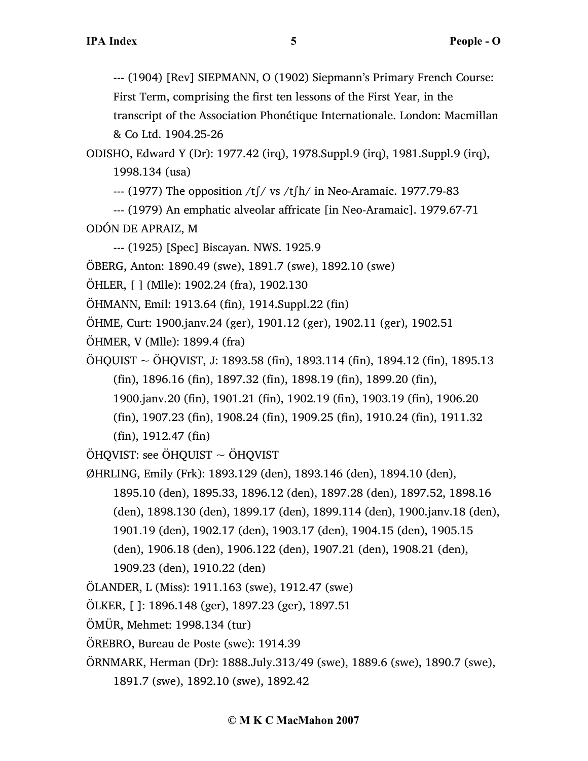--- (1904) [Rev] SIEPMANN, O (1902) Siepmann's Primary French Course:

First Term, comprising the first ten lessons of the First Year, in the

transcript of the Association Phonétique Internationale. London: Macmillan & Co Ltd. 1904.25-26

ODISHO, Edward Y (Dr): 1977.42 (irq), 1978.Suppl.9 (irq), 1981.Suppl.9 (irq), 1998.134 (usa)

--- (1977) The opposition /t∫/ vs /t∫h/ in Neo-Aramaic. 1977.79-83

--- (1979) An emphatic alveolar affricate [in Neo-Aramaic]. 1979.67-71 ODÓN DE APRAIZ, M

--- (1925) [Spec] Biscayan. NWS. 1925.9

ÖBERG, Anton: 1890.49 (swe), 1891.7 (swe), 1892.10 (swe)

ÖHLER, [ ] (Mlle): 1902.24 (fra), 1902.130

ÖHMANN, Emil: 1913.64 (fin), 1914.Suppl.22 (fin)

ÖHME, Curt: 1900.janv.24 (ger), 1901.12 (ger), 1902.11 (ger), 1902.51

ÖHMER, V (Mlle): 1899.4 (fra)

- $\ddot{\text{O}}$ HQUIST ~  $\ddot{\text{O}}$ HQVIST, J: 1893.58 (fin), 1893.114 (fin), 1894.12 (fin), 1895.13 (fin), 1896.16 (fin), 1897.32 (fin), 1898.19 (fin), 1899.20 (fin),
	- 1900.janv.20 (fin), 1901.21 (fin), 1902.19 (fin), 1903.19 (fin), 1906.20

(fin), 1907.23 (fin), 1908.24 (fin), 1909.25 (fin), 1910.24 (fin), 1911.32

(fin), 1912.47 (fin)

ÖHQVIST: see ÖHQUIST  $\sim$  ÖHQVIST

ØHRLING, Emily (Frk): 1893.129 (den), 1893.146 (den), 1894.10 (den),

1895.10 (den), 1895.33, 1896.12 (den), 1897.28 (den), 1897.52, 1898.16

(den), 1898.130 (den), 1899.17 (den), 1899.114 (den), 1900.janv.18 (den),

1901.19 (den), 1902.17 (den), 1903.17 (den), 1904.15 (den), 1905.15

(den), 1906.18 (den), 1906.122 (den), 1907.21 (den), 1908.21 (den),

1909.23 (den), 1910.22 (den)

ÖLANDER, L (Miss): 1911.163 (swe), 1912.47 (swe)

ÖLKER, [ ]: 1896.148 (ger), 1897.23 (ger), 1897.51

- ÖMÜR, Mehmet: 1998.134 (tur)
- ÖREBRO, Bureau de Poste (swe): 1914.39

ÖRNMARK, Herman (Dr): 1888.July.313/49 (swe), 1889.6 (swe), 1890.7 (swe),

1891.7 (swe), 1892.10 (swe), 1892.42

#### **© M K C MacMahon 2007**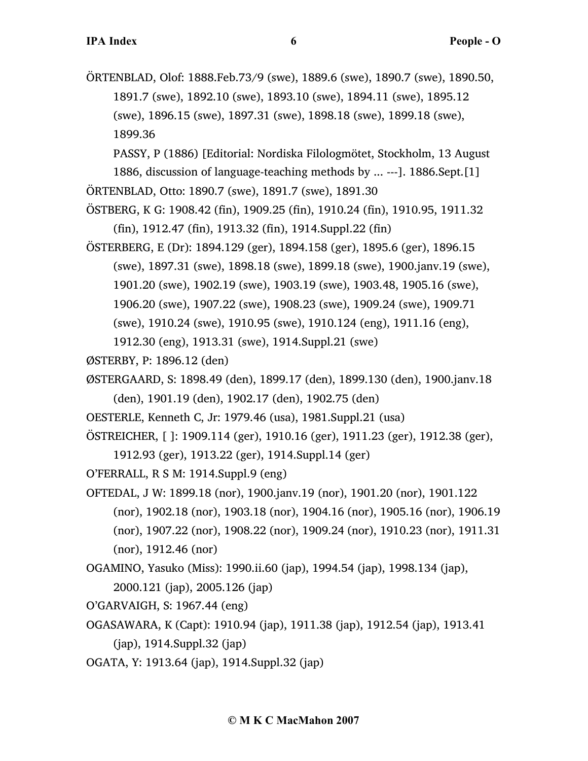ÖRTENBLAD, Olof: 1888.Feb.73/9 (swe), 1889.6 (swe), 1890.7 (swe), 1890.50, 1891.7 (swe), 1892.10 (swe), 1893.10 (swe), 1894.11 (swe), 1895.12 (swe), 1896.15 (swe), 1897.31 (swe), 1898.18 (swe), 1899.18 (swe), 1899.36

PASSY, P (1886) [Editorial: Nordiska Filologmötet, Stockholm, 13 August 1886, discussion of language-teaching methods by ... ---]. 1886.Sept.[1] ÖRTENBLAD, Otto: 1890.7 (swe), 1891.7 (swe), 1891.30

- ÖSTBERG, K G: 1908.42 (fin), 1909.25 (fin), 1910.24 (fin), 1910.95, 1911.32 (fin), 1912.47 (fin), 1913.32 (fin), 1914.Suppl.22 (fin)
- ÖSTERBERG, E (Dr): 1894.129 (ger), 1894.158 (ger), 1895.6 (ger), 1896.15 (swe), 1897.31 (swe), 1898.18 (swe), 1899.18 (swe), 1900.janv.19 (swe), 1901.20 (swe), 1902.19 (swe), 1903.19 (swe), 1903.48, 1905.16 (swe), 1906.20 (swe), 1907.22 (swe), 1908.23 (swe), 1909.24 (swe), 1909.71 (swe), 1910.24 (swe), 1910.95 (swe), 1910.124 (eng), 1911.16 (eng),
	- 1912.30 (eng), 1913.31 (swe), 1914.Suppl.21 (swe)
- ØSTERBY, P: 1896.12 (den)
- ØSTERGAARD, S: 1898.49 (den), 1899.17 (den), 1899.130 (den), 1900.janv.18 (den), 1901.19 (den), 1902.17 (den), 1902.75 (den)
- OESTERLE, Kenneth C, Jr: 1979.46 (usa), 1981.Suppl.21 (usa)
- ÖSTREICHER, [ ]: 1909.114 (ger), 1910.16 (ger), 1911.23 (ger), 1912.38 (ger),
	- 1912.93 (ger), 1913.22 (ger), 1914.Suppl.14 (ger)
- O'FERRALL, R S M: 1914.Suppl.9 (eng)
- OFTEDAL, J W: 1899.18 (nor), 1900.janv.19 (nor), 1901.20 (nor), 1901.122 (nor), 1902.18 (nor), 1903.18 (nor), 1904.16 (nor), 1905.16 (nor), 1906.19 (nor), 1907.22 (nor), 1908.22 (nor), 1909.24 (nor), 1910.23 (nor), 1911.31 (nor), 1912.46 (nor)
- OGAMINO, Yasuko (Miss): 1990.ii.60 (jap), 1994.54 (jap), 1998.134 (jap), 2000.121 (jap), 2005.126 (jap)
- O'GARVAIGH, S: 1967.44 (eng)
- OGASAWARA, K (Capt): 1910.94 (jap), 1911.38 (jap), 1912.54 (jap), 1913.41 (jap), 1914.Suppl.32 (jap)
- OGATA, Y: 1913.64 (jap), 1914.Suppl.32 (jap)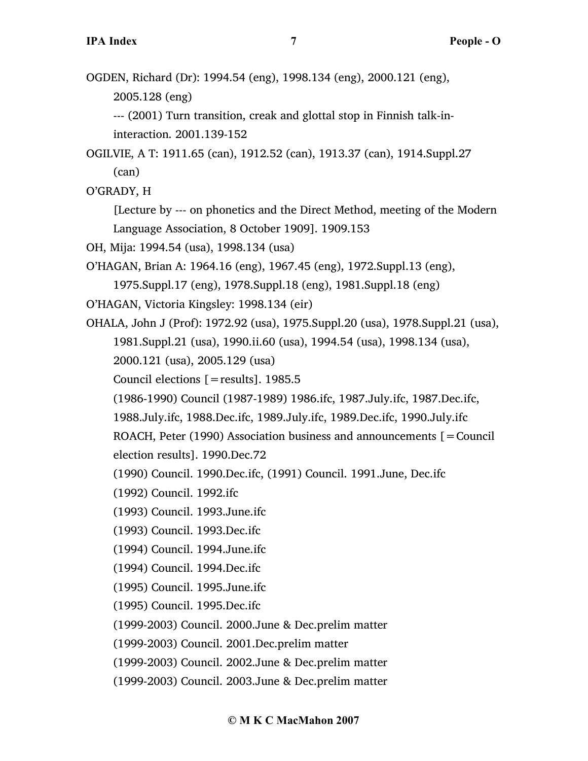OGDEN, Richard (Dr): 1994.54 (eng), 1998.134 (eng), 2000.121 (eng), 2005.128 (eng) --- (2001) Turn transition, creak and glottal stop in Finnish talk-ininteraction. 2001.139-152 OGILVIE, A T: 1911.65 (can), 1912.52 (can), 1913.37 (can), 1914.Suppl.27

(can)

O'GRADY, H

[Lecture by --- on phonetics and the Direct Method, meeting of the Modern Language Association, 8 October 1909]. 1909.153

OH, Mija: 1994.54 (usa), 1998.134 (usa)

- O'HAGAN, Brian A: 1964.16 (eng), 1967.45 (eng), 1972.Suppl.13 (eng), 1975.Suppl.17 (eng), 1978.Suppl.18 (eng), 1981.Suppl.18 (eng)
- O'HAGAN, Victoria Kingsley: 1998.134 (eir)
- OHALA, John J (Prof): 1972.92 (usa), 1975.Suppl.20 (usa), 1978.Suppl.21 (usa), 1981.Suppl.21 (usa), 1990.ii.60 (usa), 1994.54 (usa), 1998.134 (usa), 2000.121 (usa), 2005.129 (usa)
	- Council elections  $[=$  results]. 1985.5
	- (1986-1990) Council (1987-1989) 1986.ifc, 1987.July.ifc, 1987.Dec.ifc,
	- 1988.July.ifc, 1988.Dec.ifc, 1989.July.ifc, 1989.Dec.ifc, 1990.July.ifc

ROACH, Peter (1990) Association business and announcements [=Council election results]. 1990.Dec.72

- (1990) Council. 1990.Dec.ifc, (1991) Council. 1991.June, Dec.ifc
- (1992) Council. 1992.ifc
- (1993) Council. 1993.June.ifc
- (1993) Council. 1993.Dec.ifc
- (1994) Council. 1994.June.ifc
- (1994) Council. 1994.Dec.ifc
- (1995) Council. 1995.June.ifc
- (1995) Council. 1995.Dec.ifc
- (1999-2003) Council. 2000.June & Dec.prelim matter
- (1999-2003) Council. 2001.Dec.prelim matter
- (1999-2003) Council. 2002.June & Dec.prelim matter
- (1999-2003) Council. 2003.June & Dec.prelim matter

## **© M K C MacMahon 2007**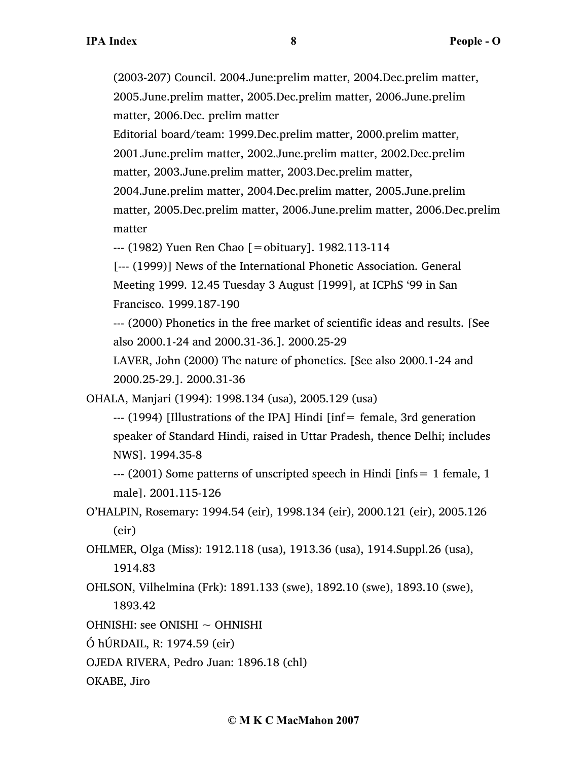(2003-207) Council. 2004.June:prelim matter, 2004.Dec.prelim matter, 2005.June.prelim matter, 2005.Dec.prelim matter, 2006.June.prelim matter, 2006.Dec. prelim matter

Editorial board/team: 1999.Dec.prelim matter, 2000.prelim matter, 2001.June.prelim matter, 2002.June.prelim matter, 2002.Dec.prelim matter, 2003.June.prelim matter, 2003.Dec.prelim matter, 2004.June.prelim matter, 2004.Dec.prelim matter, 2005.June.prelim matter, 2005.Dec.prelim matter, 2006.June.prelim matter, 2006.Dec.prelim matter

--- (1982) Yuen Ren Chao [=obituary]. 1982.113-114

[--- (1999)] News of the International Phonetic Association. General Meeting 1999. 12.45 Tuesday 3 August [1999], at ICPhS '99 in San Francisco. 1999.187-190

--- (2000) Phonetics in the free market of scientific ideas and results. [See also 2000.1-24 and 2000.31-36.]. 2000.25-29

LAVER, John (2000) The nature of phonetics. [See also 2000.1-24 and 2000.25-29.]. 2000.31-36

OHALA, Manjari (1994): 1998.134 (usa), 2005.129 (usa)

--- (1994) [Illustrations of the IPA] Hindi [inf= female, 3rd generation speaker of Standard Hindi, raised in Uttar Pradesh, thence Delhi; includes NWS]. 1994.35-8

--- (2001) Some patterns of unscripted speech in Hindi [infs= 1 female, 1 male]. 2001.115-126

O'HALPIN, Rosemary: 1994.54 (eir), 1998.134 (eir), 2000.121 (eir), 2005.126 (eir)

OHLMER, Olga (Miss): 1912.118 (usa), 1913.36 (usa), 1914.Suppl.26 (usa), 1914.83

OHLSON, Vilhelmina (Frk): 1891.133 (swe), 1892.10 (swe), 1893.10 (swe), 1893.42

OHNISHI: see ONISHI ~ OHNISHI

Ó hÚRDAIL, R: 1974.59 (eir)

OJEDA RIVERA, Pedro Juan: 1896.18 (chl)

OKABE, Jiro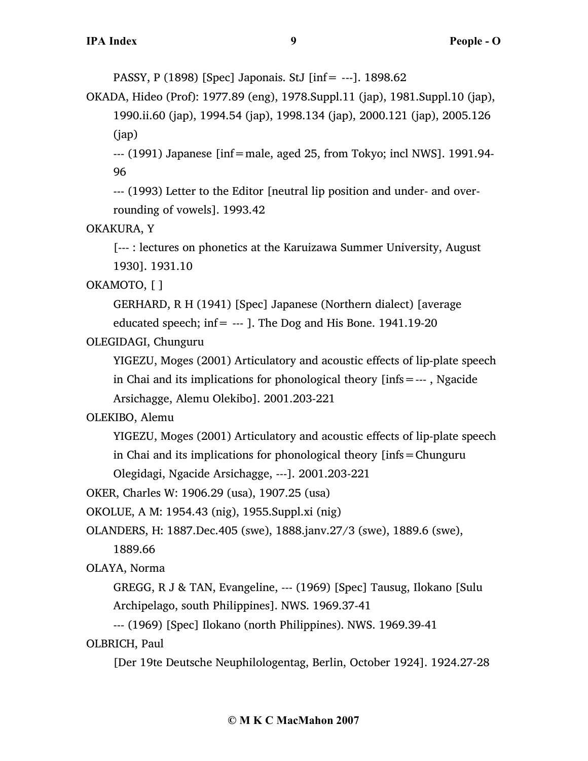PASSY, P (1898) [Spec] Japonais. StJ [inf= ---]. 1898.62

OKADA, Hideo (Prof): 1977.89 (eng), 1978.Suppl.11 (jap), 1981.Suppl.10 (jap), 1990.ii.60 (jap), 1994.54 (jap), 1998.134 (jap), 2000.121 (jap), 2005.126 (jap)

--- (1991) Japanese [inf=male, aged 25, from Tokyo; incl NWS]. 1991.94- 96

--- (1993) Letter to the Editor [neutral lip position and under- and overrounding of vowels]. 1993.42

OKAKURA, Y

[--- : lectures on phonetics at the Karuizawa Summer University, August 1930]. 1931.10

OKAMOTO, [ ]

GERHARD, R H (1941) [Spec] Japanese (Northern dialect) [average

educated speech; inf= --- ]. The Dog and His Bone. 1941.19-20

OLEGIDAGI, Chunguru

YIGEZU, Moges (2001) Articulatory and acoustic effects of lip-plate speech in Chai and its implications for phonological theory [infs=--- , Ngacide Arsichagge, Alemu Olekibo]. 2001.203-221

OLEKIBO, Alemu

YIGEZU, Moges (2001) Articulatory and acoustic effects of lip-plate speech in Chai and its implications for phonological theory [infs=Chunguru

Olegidagi, Ngacide Arsichagge, ---]. 2001.203-221

OKER, Charles W: 1906.29 (usa), 1907.25 (usa)

OKOLUE, A M: 1954.43 (nig), 1955.Suppl.xi (nig)

OLANDERS, H: 1887.Dec.405 (swe), 1888.janv.27/3 (swe), 1889.6 (swe),

1889.66

OLAYA, Norma

GREGG, R J & TAN, Evangeline, --- (1969) [Spec] Tausug, Ilokano [Sulu Archipelago, south Philippines]. NWS. 1969.37-41

--- (1969) [Spec] Ilokano (north Philippines). NWS. 1969.39-41

OLBRICH, Paul

[Der 19te Deutsche Neuphilologentag, Berlin, October 1924]. 1924.27-28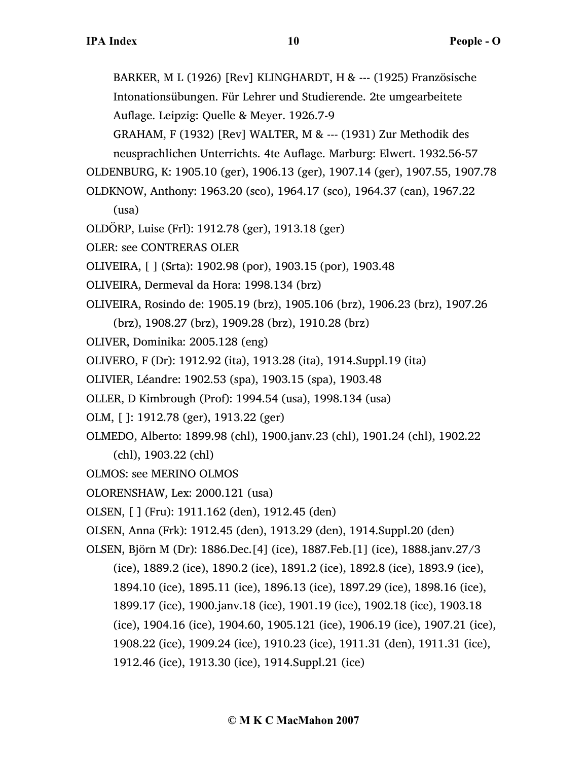BARKER, M L (1926) [Rev] KLINGHARDT, H & --- (1925) Französische Intonationsübungen. Für Lehrer und Studierende. 2te umgearbeitete Auflage. Leipzig: Quelle & Meyer. 1926.7-9 GRAHAM, F (1932) [Rev] WALTER, M & --- (1931) Zur Methodik des neusprachlichen Unterrichts. 4te Auflage. Marburg: Elwert. 1932.56-57 OLDENBURG, K: 1905.10 (ger), 1906.13 (ger), 1907.14 (ger), 1907.55, 1907.78 OLDKNOW, Anthony: 1963.20 (sco), 1964.17 (sco), 1964.37 (can), 1967.22 (usa) OLDÖRP, Luise (Frl): 1912.78 (ger), 1913.18 (ger) OLER: see CONTRERAS OLER OLIVEIRA, [ ] (Srta): 1902.98 (por), 1903.15 (por), 1903.48 OLIVEIRA, Dermeval da Hora: 1998.134 (brz) OLIVEIRA, Rosindo de: 1905.19 (brz), 1905.106 (brz), 1906.23 (brz), 1907.26 (brz), 1908.27 (brz), 1909.28 (brz), 1910.28 (brz) OLIVER, Dominika: 2005.128 (eng) OLIVERO, F (Dr): 1912.92 (ita), 1913.28 (ita), 1914.Suppl.19 (ita) OLIVIER, Léandre: 1902.53 (spa), 1903.15 (spa), 1903.48 OLLER, D Kimbrough (Prof): 1994.54 (usa), 1998.134 (usa) OLM, [ ]: 1912.78 (ger), 1913.22 (ger) OLMEDO, Alberto: 1899.98 (chl), 1900.janv.23 (chl), 1901.24 (chl), 1902.22 (chl), 1903.22 (chl) OLMOS: see MERINO OLMOS OLORENSHAW, Lex: 2000.121 (usa) OLSEN, [ ] (Fru): 1911.162 (den), 1912.45 (den) OLSEN, Anna (Frk): 1912.45 (den), 1913.29 (den), 1914.Suppl.20 (den) OLSEN, Björn M (Dr): 1886.Dec.[4] (ice), 1887.Feb.[1] (ice), 1888.janv.27/3 (ice), 1889.2 (ice), 1890.2 (ice), 1891.2 (ice), 1892.8 (ice), 1893.9 (ice), 1894.10 (ice), 1895.11 (ice), 1896.13 (ice), 1897.29 (ice), 1898.16 (ice), 1899.17 (ice), 1900.janv.18 (ice), 1901.19 (ice), 1902.18 (ice), 1903.18 (ice), 1904.16 (ice), 1904.60, 1905.121 (ice), 1906.19 (ice), 1907.21 (ice), 1908.22 (ice), 1909.24 (ice), 1910.23 (ice), 1911.31 (den), 1911.31 (ice), 1912.46 (ice), 1913.30 (ice), 1914.Suppl.21 (ice)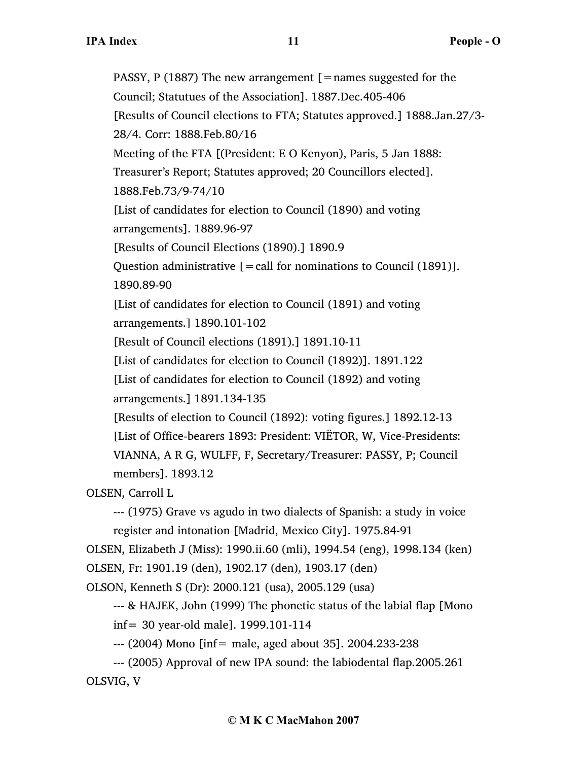PASSY, P (1887) The new arrangement  $[$  = names suggested for the Council; Statutues of the Association]. 1887.Dec.405-406 [Results of Council elections to FTA; Statutes approved.] 1888.Jan.27/3- 28/4. Corr: 1888.Feb.80/16 Meeting of the FTA [(President: E O Kenyon), Paris, 5 Jan 1888: Treasurer's Report; Statutes approved; 20 Councillors elected]. 1888.Feb.73/9-74/10 [List of candidates for election to Council (1890) and voting arrangements]. 1889.96-97 [Results of Council Elections (1890).] 1890.9 Question administrative  $\mathbf{r} = \text{call for noninations to Council (1891)}$ . 1890.89-90 [List of candidates for election to Council (1891) and voting arrangements.] 1890.101-102 [Result of Council elections (1891).] 1891.10-11 [List of candidates for election to Council (1892)]. 1891.122 [List of candidates for election to Council (1892) and voting arrangements.] 1891.134-135 [Results of election to Council (1892): voting figures.] 1892.12-13 [List of Office-bearers 1893: President: VIËTOR, W, Vice-Presidents: VIANNA, A R G, WULFF, F, Secretary/Treasurer: PASSY, P; Council members]. 1893.12 OLSEN, Carroll L --- (1975) Grave vs agudo in two dialects of Spanish: a study in voice register and intonation [Madrid, Mexico City]. 1975.84-91

OLSEN, Elizabeth J (Miss): 1990.ii.60 (mli), 1994.54 (eng), 1998.134 (ken) OLSEN, Fr: 1901.19 (den), 1902.17 (den), 1903.17 (den)

OLSON, Kenneth S (Dr): 2000.121 (usa), 2005.129 (usa)

--- & HAJEK, John (1999) The phonetic status of the labial flap [Mono inf= 30 year-old male]. 1999.101-114

--- (2004) Mono [inf= male, aged about 35]. 2004.233-238

--- (2005) Approval of new IPA sound: the labiodental flap.2005.261 OLSVIG, V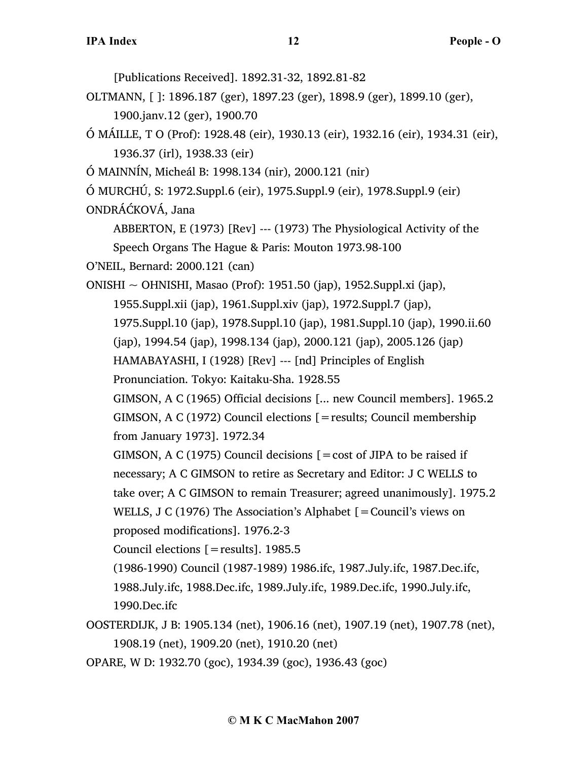[Publications Received]. 1892.31-32, 1892.81-82 OLTMANN, [ ]: 1896.187 (ger), 1897.23 (ger), 1898.9 (ger), 1899.10 (ger), 1900.janv.12 (ger), 1900.70 Ó MÁILLE, T O (Prof): 1928.48 (eir), 1930.13 (eir), 1932.16 (eir), 1934.31 (eir), 1936.37 (irl), 1938.33 (eir) Ó MAINNÍN, Micheál B: 1998.134 (nir), 2000.121 (nir) Ó MURCHÚ, S: 1972.Suppl.6 (eir), 1975.Suppl.9 (eir), 1978.Suppl.9 (eir) ONDRÁĆKOVÁ, Jana ABBERTON, E (1973) [Rev] --- (1973) The Physiological Activity of the Speech Organs The Hague & Paris: Mouton 1973.98-100 O'NEIL, Bernard: 2000.121 (can) ONISHI ~ OHNISHI, Masao (Prof): 1951.50 (jap), 1952.Suppl.xi (jap), 1955.Suppl.xii (jap), 1961.Suppl.xiv (jap), 1972.Suppl.7 (jap), 1975.Suppl.10 (jap), 1978.Suppl.10 (jap), 1981.Suppl.10 (jap), 1990.ii.60 (jap), 1994.54 (jap), 1998.134 (jap), 2000.121 (jap), 2005.126 (jap) HAMABAYASHI, I (1928) [Rev] --- [nd] Principles of English Pronunciation. Tokyo: Kaitaku-Sha. 1928.55 GIMSON, A C (1965) Official decisions [... new Council members]. 1965.2 GIMSON, A C (1972) Council elections [=results; Council membership from January 1973]. 1972.34 GIMSON, A C (1975) Council decisions  $\mathbf{r} = \cos t$  of JIPA to be raised if necessary; A C GIMSON to retire as Secretary and Editor: J C WELLS to take over; A C GIMSON to remain Treasurer; agreed unanimously]. 1975.2 WELLS, J C (1976) The Association's Alphabet [=Council's views on proposed modifications]. 1976.2-3 Council elections [=results]. 1985.5 (1986-1990) Council (1987-1989) 1986.ifc, 1987.July.ifc, 1987.Dec.ifc, 1988.July.ifc, 1988.Dec.ifc, 1989.July.ifc, 1989.Dec.ifc, 1990.July.ifc, 1990.Dec.ifc OOSTERDIJK, J B: 1905.134 (net), 1906.16 (net), 1907.19 (net), 1907.78 (net), 1908.19 (net), 1909.20 (net), 1910.20 (net) OPARE, W D: 1932.70 (goc), 1934.39 (goc), 1936.43 (goc)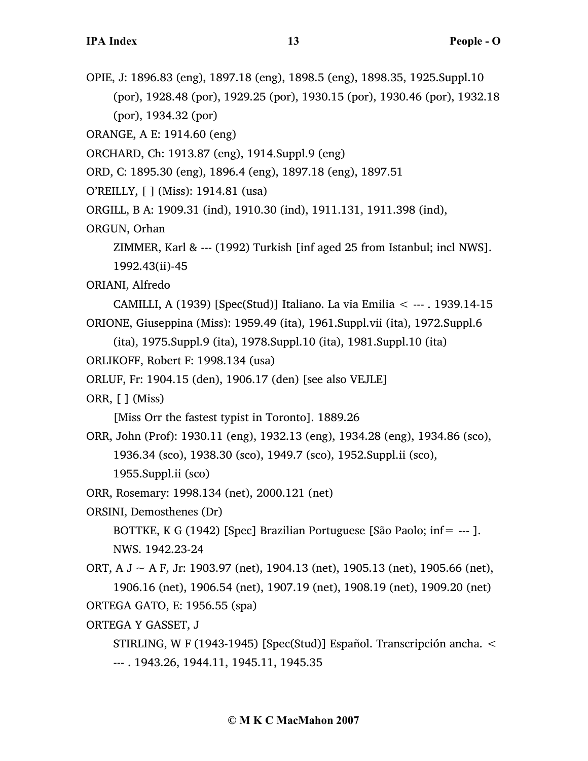OPIE, J: 1896.83 (eng), 1897.18 (eng), 1898.5 (eng), 1898.35, 1925.Suppl.10 (por), 1928.48 (por), 1929.25 (por), 1930.15 (por), 1930.46 (por), 1932.18 (por), 1934.32 (por)

ORANGE, A E: 1914.60 (eng)

ORCHARD, Ch: 1913.87 (eng), 1914.Suppl.9 (eng)

ORD, C: 1895.30 (eng), 1896.4 (eng), 1897.18 (eng), 1897.51

O'REILLY, [ ] (Miss): 1914.81 (usa)

ORGILL, B A: 1909.31 (ind), 1910.30 (ind), 1911.131, 1911.398 (ind),

ORGUN, Orhan

ZIMMER, Karl & --- (1992) Turkish [inf aged 25 from Istanbul; incl NWS]. 1992.43(ii)-45

ORIANI, Alfredo

CAMILLI, A (1939) [Spec(Stud)] Italiano. La via Emilia < --- . 1939.14-15 ORIONE, Giuseppina (Miss): 1959.49 (ita), 1961.Suppl.vii (ita), 1972.Suppl.6

```
(ita), 1975.Suppl.9 (ita), 1978.Suppl.10 (ita), 1981.Suppl.10 (ita)
```

```
ORLIKOFF, Robert F: 1998.134 (usa)
```
ORLUF, Fr: 1904.15 (den), 1906.17 (den) [see also VEJLE]

ORR, [ ] (Miss)

[Miss Orr the fastest typist in Toronto]. 1889.26

ORR, John (Prof): 1930.11 (eng), 1932.13 (eng), 1934.28 (eng), 1934.86 (sco), 1936.34 (sco), 1938.30 (sco), 1949.7 (sco), 1952.Suppl.ii (sco), 1955.Suppl.ii (sco)

ORR, Rosemary: 1998.134 (net), 2000.121 (net)

ORSINI, Demosthenes (Dr)

BOTTKE, K G (1942) [Spec] Brazilian Portuguese [São Paolo; inf= --- ]. NWS. 1942.23-24

ORT, A  $J \sim A$  F, Jr: 1903.97 (net), 1904.13 (net), 1905.13 (net), 1905.66 (net), 1906.16 (net), 1906.54 (net), 1907.19 (net), 1908.19 (net), 1909.20 (net) ORTEGA GATO, E: 1956.55 (spa)

## ORTEGA Y GASSET, J

STIRLING, W F (1943-1945) [Spec(Stud)] Español. Transcripción ancha. < --- . 1943.26, 1944.11, 1945.11, 1945.35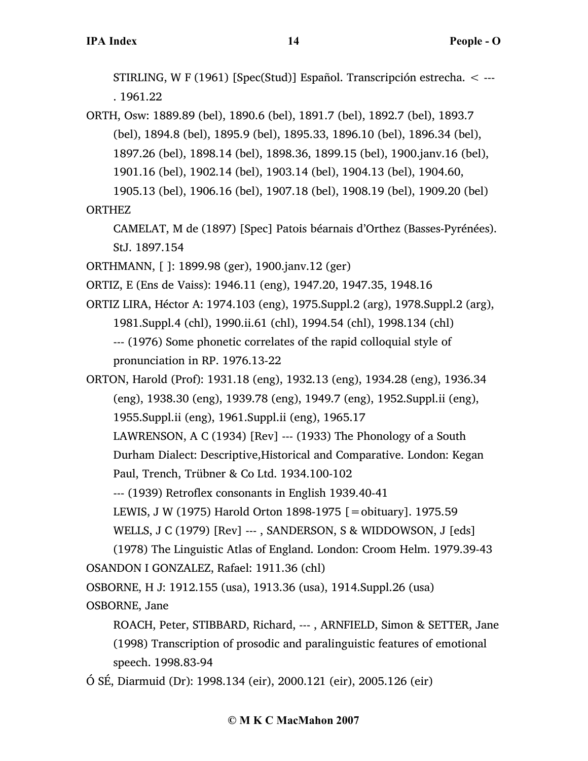STIRLING, W F (1961) [Spec(Stud)] Español. Transcripción estrecha. < --- . 1961.22

ORTH, Osw: 1889.89 (bel), 1890.6 (bel), 1891.7 (bel), 1892.7 (bel), 1893.7 (bel), 1894.8 (bel), 1895.9 (bel), 1895.33, 1896.10 (bel), 1896.34 (bel), 1897.26 (bel), 1898.14 (bel), 1898.36, 1899.15 (bel), 1900.janv.16 (bel), 1901.16 (bel), 1902.14 (bel), 1903.14 (bel), 1904.13 (bel), 1904.60, 1905.13 (bel), 1906.16 (bel), 1907.18 (bel), 1908.19 (bel), 1909.20 (bel)

ORTHEZ

CAMELAT, M de (1897) [Spec] Patois béarnais d'Orthez (Basses-Pyrénées). StJ. 1897.154

ORTHMANN, [ ]: 1899.98 (ger), 1900.janv.12 (ger)

ORTIZ, E (Ens de Vaiss): 1946.11 (eng), 1947.20, 1947.35, 1948.16

ORTIZ LIRA, Héctor A: 1974.103 (eng), 1975.Suppl.2 (arg), 1978.Suppl.2 (arg), 1981.Suppl.4 (chl), 1990.ii.61 (chl), 1994.54 (chl), 1998.134 (chl) --- (1976) Some phonetic correlates of the rapid colloquial style of pronunciation in RP. 1976.13-22

ORTON, Harold (Prof): 1931.18 (eng), 1932.13 (eng), 1934.28 (eng), 1936.34 (eng), 1938.30 (eng), 1939.78 (eng), 1949.7 (eng), 1952.Suppl.ii (eng), 1955.Suppl.ii (eng), 1961.Suppl.ii (eng), 1965.17 LAWRENSON, A C (1934) [Rev] --- (1933) The Phonology of a South Durham Dialect: Descriptive,Historical and Comparative. London: Kegan Paul, Trench, Trübner & Co Ltd. 1934.100-102 --- (1939) Retroflex consonants in English 1939.40-41 LEWIS, J W (1975) Harold Orton 1898-1975 [=obituary]. 1975.59 WELLS, J C (1979) [Rev] ---, SANDERSON, S & WIDDOWSON, J [eds] (1978) The Linguistic Atlas of England. London: Croom Helm. 1979.39-43 OSANDON I GONZALEZ, Rafael: 1911.36 (chl) OSBORNE, H J: 1912.155 (usa), 1913.36 (usa), 1914.Suppl.26 (usa) OSBORNE, Jane

ROACH, Peter, STIBBARD, Richard, --- , ARNFIELD, Simon & SETTER, Jane (1998) Transcription of prosodic and paralinguistic features of emotional speech. 1998.83-94

Ó SÉ, Diarmuid (Dr): 1998.134 (eir), 2000.121 (eir), 2005.126 (eir)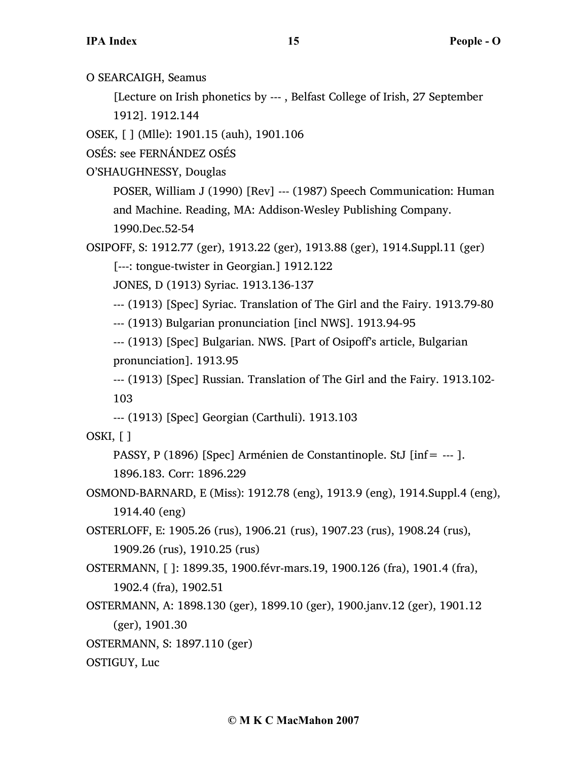O SEARCAIGH, Seamus

[Lecture on Irish phonetics by --- , Belfast College of Irish, 27 September 1912]. 1912.144

OSEK, [ ] (Mlle): 1901.15 (auh), 1901.106

OSÉS: see FERNÁNDEZ OSÉS

O'SHAUGHNESSY, Douglas

POSER, William J (1990) [Rev] --- (1987) Speech Communication: Human and Machine. Reading, MA: Addison-Wesley Publishing Company. 1990.Dec.52-54

OSIPOFF, S: 1912.77 (ger), 1913.22 (ger), 1913.88 (ger), 1914.Suppl.11 (ger) [---: tongue-twister in Georgian.] 1912.122

JONES, D (1913) Syriac. 1913.136-137

--- (1913) [Spec] Syriac. Translation of The Girl and the Fairy. 1913.79-80

--- (1913) Bulgarian pronunciation [incl NWS]. 1913.94-95

--- (1913) [Spec] Bulgarian. NWS. [Part of Osipoff's article, Bulgarian pronunciation]. 1913.95

--- (1913) [Spec] Russian. Translation of The Girl and the Fairy. 1913.102- 103

--- (1913) [Spec] Georgian (Carthuli). 1913.103

OSKI, [ ]

PASSY, P (1896) [Spec] Arménien de Constantinople. StJ [inf= --- ]. 1896.183. Corr: 1896.229

OSMOND-BARNARD, E (Miss): 1912.78 (eng), 1913.9 (eng), 1914.Suppl.4 (eng), 1914.40 (eng)

OSTERLOFF, E: 1905.26 (rus), 1906.21 (rus), 1907.23 (rus), 1908.24 (rus), 1909.26 (rus), 1910.25 (rus)

OSTERMANN, [ ]: 1899.35, 1900.févr-mars.19, 1900.126 (fra), 1901.4 (fra), 1902.4 (fra), 1902.51

OSTERMANN, A: 1898.130 (ger), 1899.10 (ger), 1900.janv.12 (ger), 1901.12 (ger), 1901.30

OSTERMANN, S: 1897.110 (ger)

OSTIGUY, Luc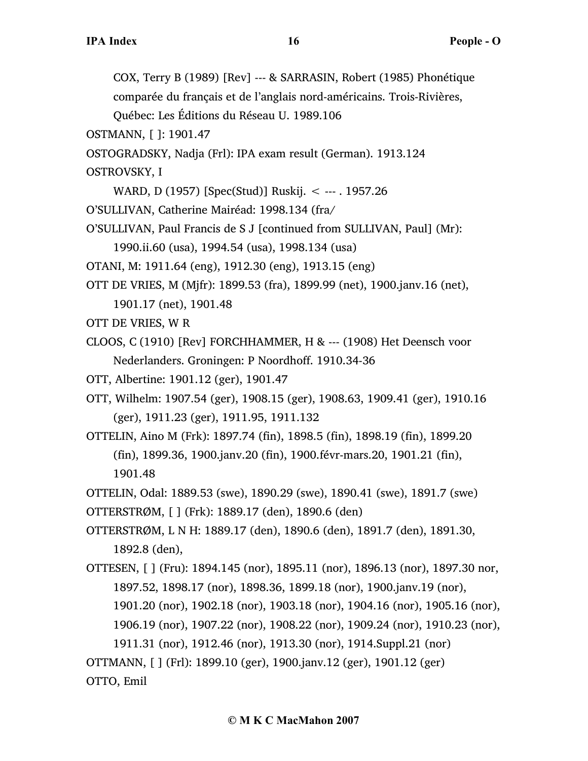COX, Terry B (1989) [Rev] --- & SARRASIN, Robert (1985) Phonétique comparée du français et de l'anglais nord-américains. Trois-Rivières,

Québec: Les Éditions du Réseau U. 1989.106

OSTMANN, [ ]: 1901.47

OSTOGRADSKY, Nadja (Frl): IPA exam result (German). 1913.124

OSTROVSKY, I

WARD, D (1957) [Spec(Stud)] Ruskij. < --- . 1957.26

O'SULLIVAN, Catherine Mairéad: 1998.134 (fra/

O'SULLIVAN, Paul Francis de S J [continued from SULLIVAN, Paul] (Mr):

1990.ii.60 (usa), 1994.54 (usa), 1998.134 (usa)

OTANI, M: 1911.64 (eng), 1912.30 (eng), 1913.15 (eng)

OTT DE VRIES, M (Mjfr): 1899.53 (fra), 1899.99 (net), 1900.janv.16 (net),

1901.17 (net), 1901.48

OTT DE VRIES, W R

CLOOS, C (1910) [Rev] FORCHHAMMER, H & --- (1908) Het Deensch voor Nederlanders. Groningen: P Noordhoff. 1910.34-36

OTT, Albertine: 1901.12 (ger), 1901.47

OTT, Wilhelm: 1907.54 (ger), 1908.15 (ger), 1908.63, 1909.41 (ger), 1910.16 (ger), 1911.23 (ger), 1911.95, 1911.132

OTTELIN, Aino M (Frk): 1897.74 (fin), 1898.5 (fin), 1898.19 (fin), 1899.20 (fin), 1899.36, 1900.janv.20 (fin), 1900.févr-mars.20, 1901.21 (fin), 1901.48

OTTELIN, Odal: 1889.53 (swe), 1890.29 (swe), 1890.41 (swe), 1891.7 (swe)

OTTERSTRØM, [ ] (Frk): 1889.17 (den), 1890.6 (den)

OTTERSTRØM, L N H: 1889.17 (den), 1890.6 (den), 1891.7 (den), 1891.30, 1892.8 (den),

OTTESEN, [ ] (Fru): 1894.145 (nor), 1895.11 (nor), 1896.13 (nor), 1897.30 nor, 1897.52, 1898.17 (nor), 1898.36, 1899.18 (nor), 1900.janv.19 (nor),

1901.20 (nor), 1902.18 (nor), 1903.18 (nor), 1904.16 (nor), 1905.16 (nor),

1906.19 (nor), 1907.22 (nor), 1908.22 (nor), 1909.24 (nor), 1910.23 (nor),

1911.31 (nor), 1912.46 (nor), 1913.30 (nor), 1914.Suppl.21 (nor)

OTTMANN, [ ] (Frl): 1899.10 (ger), 1900.janv.12 (ger), 1901.12 (ger) OTTO, Emil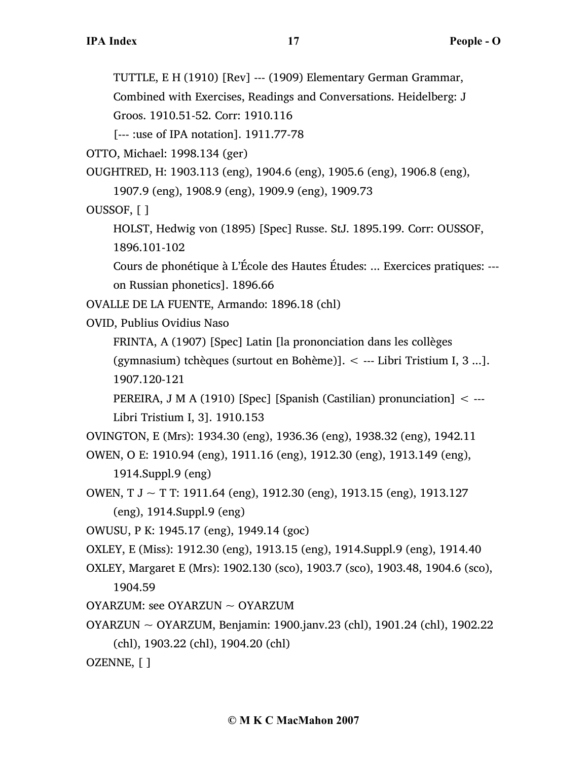TUTTLE, E H (1910) [Rev] --- (1909) Elementary German Grammar,

Combined with Exercises, Readings and Conversations. Heidelberg: J

Groos. 1910.51-52. Corr: 1910.116

[--- :use of IPA notation]. 1911.77-78

OTTO, Michael: 1998.134 (ger)

OUGHTRED, H: 1903.113 (eng), 1904.6 (eng), 1905.6 (eng), 1906.8 (eng), 1907.9 (eng), 1908.9 (eng), 1909.9 (eng), 1909.73

OUSSOF, [ ]

HOLST, Hedwig von (1895) [Spec] Russe. StJ. 1895.199. Corr: OUSSOF, 1896.101-102

Cours de phonétique à L'École des Hautes Études: ... Exercices pratiques: -- on Russian phonetics]. 1896.66

OVALLE DE LA FUENTE, Armando: 1896.18 (chl)

OVID, Publius Ovidius Naso

FRINTA, A (1907) [Spec] Latin [la prononciation dans les collèges

(gymnasium) tchèques (surtout en Bohème)]. < --- Libri Tristium I, 3 ...]. 1907.120-121

PEREIRA, J M A (1910) [Spec] [Spanish (Castilian) pronunciation] < --- Libri Tristium I, 3]. 1910.153

OVINGTON, E (Mrs): 1934.30 (eng), 1936.36 (eng), 1938.32 (eng), 1942.11

```
OWEN, O E: 1910.94 (eng), 1911.16 (eng), 1912.30 (eng), 1913.149 (eng), 
     1914.Suppl.9 (eng)
```
OWEN, T  $J \sim T$  T: 1911.64 (eng), 1912.30 (eng), 1913.15 (eng), 1913.127

(eng), 1914.Suppl.9 (eng)

OWUSU, P K: 1945.17 (eng), 1949.14 (goc)

OXLEY, E (Miss): 1912.30 (eng), 1913.15 (eng), 1914.Suppl.9 (eng), 1914.40

- OXLEY, Margaret E (Mrs): 1902.130 (sco), 1903.7 (sco), 1903.48, 1904.6 (sco), 1904.59
- OYARZUM: see OYARZUN ~ OYARZUM
- OYARZUN ~ OYARZUM, Benjamin: 1900.janv.23 (chl), 1901.24 (chl), 1902.22 (chl), 1903.22 (chl), 1904.20 (chl)

OZENNE, [ ]